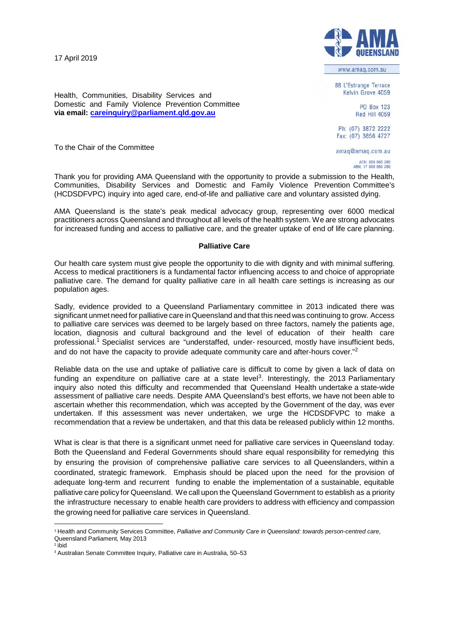17 April 2019



www.amaq.com.au

88 L'Estrange Terrace Kelvin Grove 4059

> PO Box 123 Red Hill 4059

Ph: (07) 3872 2222 Fax: (07) 3856 4727

amaq@amaq.com.au

ACN: 009 660 280<br>ABN: 17 009 660 280

**via email: [careinquiry@parliament.qld.gov.au](mailto:careinquiry@parliament.qld.gov.au)**

Domestic and Family Violence Prevention Committee

Health, Communities, Disability Services and

To the Chair of the Committee

Thank you for providing AMA Queensland with the opportunity to provide a submission to the Health, Communities, Disability Services and Domestic and Family Violence Prevention Committee's (HCDSDFVPC) inquiry into aged care, end-of-life and palliative care and voluntary assisted dying.

AMA Queensland is the state's peak medical advocacy group, representing over 6000 medical practitioners across Queensland and throughout all levels of the health system. We are strong advocates for increased funding and access to palliative care, and the greater uptake of end of life care planning.

## **Palliative Care**

Our health care system must give people the opportunity to die with dignity and with minimal suffering. Access to medical practitioners is a fundamental factor influencing access to and choice of appropriate palliative care. The demand for quality palliative care in all health care settings is increasing as our population ages.

Sadly, evidence provided to a Queensland Parliamentary committee in 2013 indicated there was significant unmet need for palliative care in Queensland and that this need was continuing to grow. Access to palliative care services was deemed to be largely based on three factors, namely the patients age, location, diagnosis and cultural background and the level of education of their health care professional.<sup>1</sup> Specialist services are "understaffed, under- resourced, mostly have insufficient beds, and do not have the capacity to provide adequate community care and after-hours cover."<sup>2</sup>

Reliable data on the use and uptake of palliative care is difficult to come by given a lack of data on funding an expenditure on palliative care at a state level<sup>3</sup>. Interestingly, the 2013 Parliamentary inquiry also noted this difficulty and recommended that Queensland Health undertake a state-wide assessment of palliative care needs. Despite AMA Queensland's best efforts, we have not been able to ascertain whether this recommendation, which was accepted by the Government of the day, was ever undertaken. If this assessment was never undertaken, we urge the HCDSDFVPC to make a recommendation that a review be undertaken, and that this data be released publicly within 12 months.

What is clear is that there is a significant unmet need for palliative care services in Queensland today. Both the Queensland and Federal Governments should share equal responsibility for remedying this by ensuring the provision of comprehensive palliative care services to all Queenslanders, within a coordinated, strategic framework. Emphasis should be placed upon the need for the provision of adequate long-term and recurrent funding to enable the implementation of a sustainable, equitable palliative care policy for Queensland. We call upon the Queensland Government to establish as a priority the infrastructure necessary to enable health care providers to address with efficiency and compassion the growing need for palliative care services in Queensland.

<sup>1</sup> Health and Community Services Committee, *Palliative and Community Care in Queensland: towards person-centred care*, Queensland Parliament, May 2013

<sup>2</sup> ibid

<sup>3</sup> Australian Senate Committee Inquiry, Palliative care in Australia, 50–53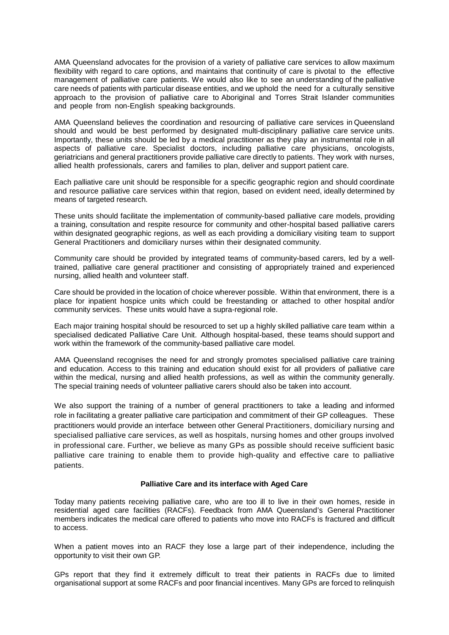AMA Queensland advocates for the provision of a variety of palliative care services to allow maximum flexibility with regard to care options, and maintains that continuity of care is pivotal to the effective management of palliative care patients. We would also like to see an understanding of the palliative care needs of patients with particular disease entities, and we uphold the need for a culturally sensitive approach to the provision of palliative care to Aboriginal and Torres Strait Islander communities and people from non-English speaking backgrounds.

AMA Queensland believes the coordination and resourcing of palliative care services in Queensland should and would be best performed by designated multi-disciplinary palliative care service units. Importantly, these units should be led by a medical practitioner as they play an instrumental role in all aspects of palliative care. Specialist doctors, including palliative care physicians, oncologists, geriatricians and general practitioners provide palliative care directly to patients. They work with nurses, allied health professionals, carers and families to plan, deliver and support patient care.

Each palliative care unit should be responsible for a specific geographic region and should coordinate and resource palliative care services within that region, based on evident need, ideally determined by means of targeted research.

These units should facilitate the implementation of community-based palliative care models, providing a training, consultation and respite resource for community and other-hospital based palliative carers within designated geographic regions, as well as each providing a domiciliary visiting team to support General Practitioners and domiciliary nurses within their designated community.

Community care should be provided by integrated teams of community-based carers, led by a welltrained, palliative care general practitioner and consisting of appropriately trained and experienced nursing, allied health and volunteer staff.

Care should be provided in the location of choice wherever possible. Within that environment, there is a place for inpatient hospice units which could be freestanding or attached to other hospital and/or community services. These units would have a supra-regional role.

Each major training hospital should be resourced to set up a highly skilled palliative care team within a specialised dedicated Palliative Care Unit. Although hospital-based, these teams should support and work within the framework of the community-based palliative care model.

AMA Queensland recognises the need for and strongly promotes specialised palliative care training and education. Access to this training and education should exist for all providers of palliative care within the medical, nursing and allied health professions, as well as within the community generally. The special training needs of volunteer palliative carers should also be taken into account.

We also support the training of a number of general practitioners to take a leading and informed role in facilitating a greater palliative care participation and commitment of their GP colleagues. These practitioners would provide an interface between other General Practitioners, domiciliary nursing and specialised palliative care services, as well as hospitals, nursing homes and other groups involved in professional care. Further, we believe as many GPs as possible should receive sufficient basic palliative care training to enable them to provide high-quality and effective care to palliative patients.

## **Palliative Care and its interface with Aged Care**

Today many patients receiving palliative care, who are too ill to live in their own homes, reside in residential aged care facilities (RACFs). Feedback from AMA Queensland's General Practitioner members indicates the medical care offered to patients who move into RACFs is fractured and difficult to access.

When a patient moves into an RACF they lose a large part of their independence, including the opportunity to visit their own GP.

GPs report that they find it extremely difficult to treat their patients in RACFs due to limited organisational support at some RACFs and poor financial incentives. Many GPs are forced to relinquish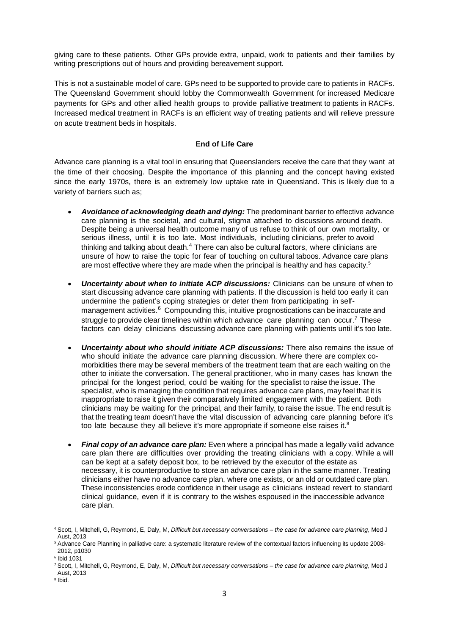giving care to these patients. Other GPs provide extra, unpaid, work to patients and their families by writing prescriptions out of hours and providing bereavement support.

This is not a sustainable model of care. GPs need to be supported to provide care to patients in RACFs. The Queensland Government should lobby the Commonwealth Government for increased Medicare payments for GPs and other allied health groups to provide palliative treatment to patients in RACFs. Increased medical treatment in RACFs is an efficient way of treating patients and will relieve pressure on acute treatment beds in hospitals.

## **End of Life Care**

Advance care planning is a vital tool in ensuring that Queenslanders receive the care that they want at the time of their choosing. Despite the importance of this planning and the concept having existed since the early 1970s, there is an extremely low uptake rate in Queensland. This is likely due to a variety of barriers such as;

- *Avoidance of acknowledging death and dying:* The predominant barrier to effective advance care planning is the societal, and cultural, stigma attached to discussions around death. Despite being a universal health outcome many of us refuse to think of our own mortality, or serious illness, until it is too late. Most individuals, including clinicians, prefer to avoid thinking and talking about death.<sup>4</sup> There can also be cultural factors, where clinicians are unsure of how to raise the topic for fear of touching on cultural taboos. Advance care plans are most effective where they are made when the principal is healthy and has capacity. 5
- *Uncertainty about when to initiate ACP discussions:* Clinicians can be unsure of when to start discussing advance care planning with patients. If the discussion is held too early it can undermine the patient's coping strategies or deter them from participating in selfmanagement activities.<sup>6</sup> Compounding this, intuitive prognostications can be inaccurate and struggle to provide clear timelines within which advance care planning can occur.<sup>7</sup> These factors can delay clinicians discussing advance care planning with patients until it's too late.
- *Uncertainty about who should initiate ACP discussions:* There also remains the issue of who should initiate the advance care planning discussion. Where there are complex comorbidities there may be several members of the treatment team that are each waiting on the other to initiate the conversation. The general practitioner, who in many cases has known the principal for the longest period, could be waiting for the specialist to raise the issue. The specialist, who is managing the condition that requires advance care plans, may feel that it is inappropriate to raise it given their comparatively limited engagement with the patient. Both clinicians may be waiting for the principal, and their family, to raise the issue. The end result is that the treating team doesn't have the vital discussion of advancing care planning before it's too late because they all believe it's more appropriate if someone else raises it. $^8$
- *Final copy of an advance care plan:* Even where a principal has made a legally valid advance care plan there are difficulties over providing the treating clinicians with a copy. While a will can be kept at a safety deposit box, to be retrieved by the executor of the estate as necessary, it is counterproductive to store an advance care plan in the same manner. Treating clinicians either have no advance care plan, where one exists, or an old or outdated care plan. These inconsistencies erode confidence in their usage as clinicians instead revert to standard clinical guidance, even if it is contrary to the wishes espoused in the inaccessible advance care plan.

<sup>4</sup> Scott, I, Mitchell, G, Reymond, E, Daly, M, *Difficult but necessary conversations – the case for advance care planning*, Med J Aust, 2013

<sup>5</sup> Advance Care Planning in palliative care: a systematic literature review of the contextual factors influencing its update 2008- 2012, p1030

<sup>6</sup> Ibid 1031

<sup>7</sup> Scott, I, Mitchell, G, Reymond, E, Daly, M, *Difficult but necessary conversations – the case for advance care planning*, Med J Aust, 2013

<sup>8</sup> Ibid.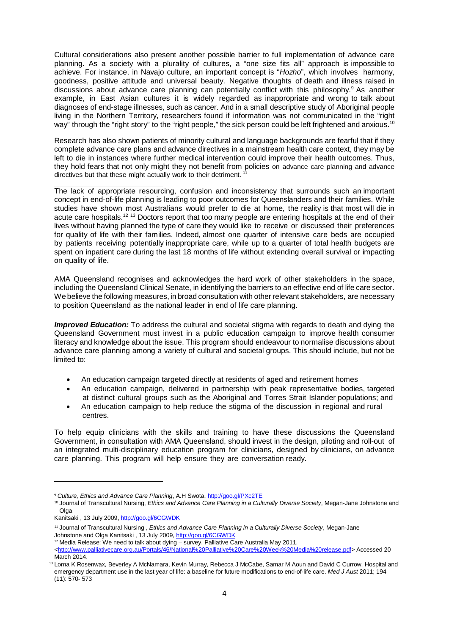Cultural considerations also present another possible barrier to full implementation of advance care planning. As a society with a plurality of cultures, a "one size fits all" approach is impossible to achieve. For instance, in Navajo culture, an important concept is "*Hozho*", which involves harmony, goodness, positive attitude and universal beauty. Negative thoughts of death and illness raised in discussions about advance care planning can potentially conflict with this philosophy. <sup>9</sup> As another example, in East Asian cultures it is widely regarded as inappropriate and wrong to talk about diagnoses of end-stage illnesses, such as cancer. And in a small descriptive study of Aboriginal people living in the Northern Territory, researchers found if information was not communicated in the "right way" through the "right story" to the "right people," the sick person could be left frightened and anxious. $^{10}$ 

Research has also shown patients of minority cultural and language backgrounds are fearful that if they complete advance care plans and advance directives in a mainstream health care context, they may be left to die in instances where further medical intervention could improve their health outcomes. Thus, they hold fears that not only might they not benefit from policies on advance care planning and advance directives but that these might actually work to their detriment.

The lack of appropriate resourcing, confusion and inconsistency that surrounds such an important concept in end-of-life planning is leading to poor outcomes for Queenslanders and their families. While studies have shown most Australians would prefer to die at home, the reality is that most will die in acute care hospitals.<sup>12 13</sup> Doctors report that too many people are entering hospitals at the end of their lives without having planned the type of care they would like to receive or discussed their preferences for quality of life with their families. Indeed, almost one quarter of intensive care beds are occupied by patients receiving potentially inappropriate care, while up to a quarter of total health budgets are spent on inpatient care during the last 18 months of life without extending overall survival or impacting on quality of life.

AMA Queensland recognises and acknowledges the hard work of other stakeholders in the space, including the Queensland Clinical Senate, in identifying the barriers to an effective end of life care sector. We believe the following measures, in broad consultation with other relevant stakeholders, are necessary to position Queensland as the national leader in end of life care planning.

*Improved Education:* To address the cultural and societal stigma with regards to death and dying the Queensland Government must invest in a public education campaign to improve health consumer literacy and knowledge about the issue. This program should endeavour to normalise discussions about advance care planning among a variety of cultural and societal groups. This should include, but not be limited to:

- An education campaign targeted directly at residents of aged and retirement homes
- An education campaign, delivered in partnership with peak representative bodies, targeted at distinct cultural groups such as the Aboriginal and Torres Strait Islander populations; and
- An education campaign to help reduce the stigma of the discussion in regional and rural centres.

To help equip clinicians with the skills and training to have these discussions the Queensland Government, in consultation with AMA Queensland, should invest in the design, piloting and roll-out of an integrated multi-disciplinary education program for clinicians, designed by clinicians, on advance care planning. This program will help ensure they are conversation ready.

<sup>12</sup> Media Release: We need to talk about dying – survey. Palliative Care Australia May 2011.

<sup>9</sup> *Culture, Ethics and Advance Care Planning*, A.H Swota[, http://goo.gl/PXc2TE](http://goo.gl/PXc2TE)

<sup>10</sup> Journal of Transcultural Nursing, *Ethics and Advance Care Planning in a Culturally Diverse Society*, Megan-Jane Johnstone and Olga

Kanitsaki, 13 July 2009[, http://goo.gl/6CGWDK](http://goo.gl/6CGWDK)

<sup>11</sup> Journal of Transcultural Nursing , *Ethics and Advance Care Planning in a Culturally Diverse Society*, Megan-Jane Johnstone and Olga Kanitsaki, 13 July 2009[, http://goo.gl/6CGWDK](http://goo.gl/6CGWDK)

[<sup>&</sup>lt;http://www.palliativecare.org.au/Portals/46/National%20Palliative%20Care%20Week%20Media%20release.pdf>](http://www.palliativecare.org.au/Portals/46/National%20Palliative%20Care%20Week%20Media%20release.pdf) Accessed 20 March 2014.

<sup>&</sup>lt;sup>13</sup> Lorna K Rosenwax, Beverley A McNamara, Kevin Murray, Rebecca J McCabe, Samar M Aoun and David C Currow. Hospital and emergency department use in the last year of life: a baseline for future modifications to end-of-life care. *Med J Aust* 2011; 194 (11): 570- 573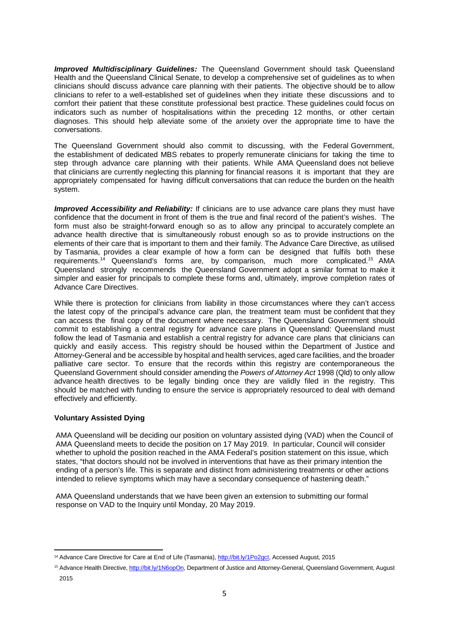*Improved Multidisciplinary Guidelines:* The Queensland Government should task Queensland Health and the Queensland Clinical Senate, to develop a comprehensive set of guidelines as to when clinicians should discuss advance care planning with their patients. The objective should be to allow clinicians to refer to a well-established set of guidelines when they initiate these discussions and to comfort their patient that these constitute professional best practice. These guidelines could focus on indicators such as number of hospitalisations within the preceding 12 months, or other certain diagnoses. This should help alleviate some of the anxiety over the appropriate time to have the conversations.

The Queensland Government should also commit to discussing, with the Federal Government, the establishment of dedicated MBS rebates to properly remunerate clinicians for taking the time to step through advance care planning with their patients. While AMA Queensland does not believe that clinicians are currently neglecting this planning for financial reasons it is important that they are appropriately compensated for having difficult conversations that can reduce the burden on the health system.

*Improved Accessibility and Reliability:* If clinicians are to use advance care plans they must have confidence that the document in front of them is the true and final record of the patient's wishes. The form must also be straight-forward enough so as to allow any principal to accurately complete an advance health directive that is simultaneously robust enough so as to provide instructions on the elements of their care that is important to them and their family. The Advance Care Directive, as utilised by Tasmania, provides a clear example of how a form can be designed that fulfils both these requirements.<sup>14</sup> Queensland's forms are, by comparison, much more complicated.<sup>15</sup> AMA Queensland strongly recommends the Queensland Government adopt a similar format to make it simpler and easier for principals to complete these forms and, ultimately, improve completion rates of Advance Care Directives.

While there is protection for clinicians from liability in those circumstances where they can't access the latest copy of the principal's advance care plan, the treatment team must be confident that they can access the final copy of the document where necessary. The Queensland Government should commit to establishing a central registry for advance care plans in Queensland: Queensland must follow the lead of Tasmania and establish a central registry for advance care plans that clinicians can quickly and easily access. This registry should be housed within the Department of Justice and Attorney-General and be accessible by hospital and health services, aged care facilities, and the broader palliative care sector. To ensure that the records within this registry are contemporaneous the Queensland Government should consider amending the *Powers of Attorney Act* 1998 (Qld) to only allow advance health directives to be legally binding once they are validly filed in the registry. This should be matched with funding to ensure the service is appropriately resourced to deal with demand effectively and efficiently.

## **Voluntary Assisted Dying**

AMA Queensland will be deciding our position on voluntary assisted dying (VAD) when the Council of AMA Queensland meets to decide the position on 17 May 2019. In particular, Council will consider whether to uphold the position reached in the AMA Federal's position statement on this issue, which states, "that doctors should not be involved in interventions that have as their primary intention the ending of a person's life. This is separate and distinct from administering treatments or other actions intended to relieve symptoms which may have a secondary consequence of hastening death."

AMA Queensland understands that we have been given an extension to submitting our formal response on VAD to the Inquiry until Monday, 20 May 2019.

<sup>&</sup>lt;sup>14</sup> Advance Care Directive for Care at End of Life (Tasmania), http://bit.ly/1Po2gcl, Accessed August, 2015

<sup>&</sup>lt;sup>15</sup> Advance Health Directive[, http://bit.ly/1N6opOn, D](http://bit.ly/1N6opOn)epartment of Justice and Attorney-General, Queensland Government, August 2015